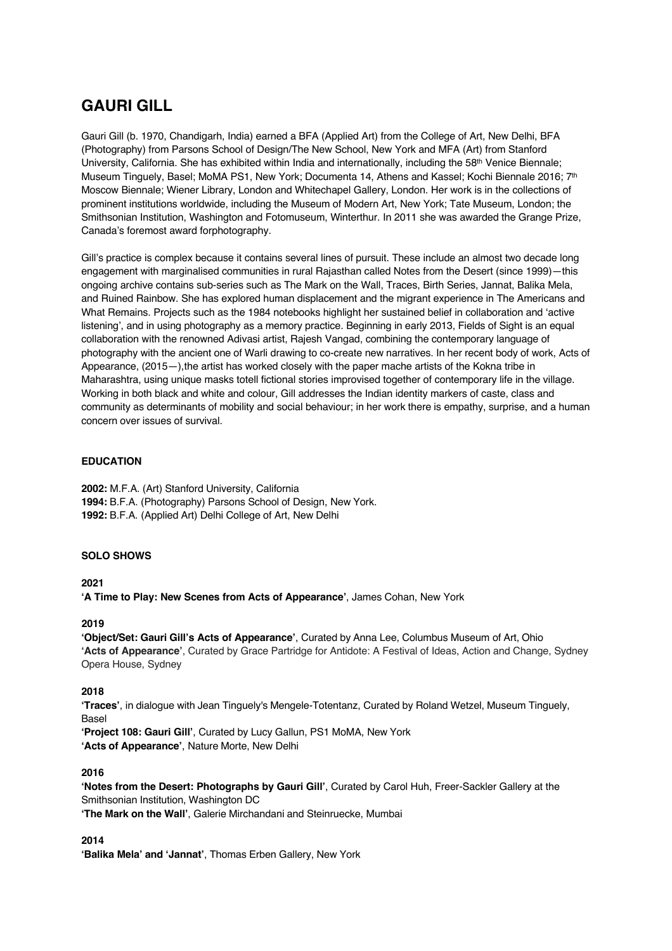# **GAURI GILL**

Gauri Gill (b. 1970, Chandigarh, India) earned a BFA (Applied Art) from the College of Art, New Delhi, BFA (Photography) from Parsons School of Design/The New School, New York and MFA (Art) from Stanford University, California. She has exhibited within India and internationally, including the 58<sup>th</sup> Venice Biennale; Museum Tinguely, Basel; MoMA PS1, New York; Documenta 14, Athens and Kassel; Kochi Biennale 2016; 7<sup>th</sup> Moscow Biennale; Wiener Library, London and Whitechapel Gallery, London. Her work is in the collections of prominent institutions worldwide, including the Museum of Modern Art, New York; Tate Museum, London; the Smithsonian Institution, Washington and Fotomuseum, Winterthur. In 2011 she was awarded the Grange Prize, Canada's foremost award forphotography.

Gill's practice is complex because it contains several lines of pursuit. These include an almost two decade long engagement with marginalised communities in rural Rajasthan called Notes from the Desert (since 1999)—this ongoing archive contains sub-series such as The Mark on the Wall, Traces, Birth Series, Jannat, Balika Mela, and Ruined Rainbow. She has explored human displacement and the migrant experience in The Americans and What Remains. Projects such as the 1984 notebooks highlight her sustained belief in collaboration and 'active listening', and in using photography as a memory practice. Beginning in early 2013, Fields of Sight is an equal collaboration with the renowned Adivasi artist, Rajesh Vangad, combining the contemporary language of photography with the ancient one of Warli drawing to co-create new narratives. In her recent body of work, Acts of Appearance, (2015—), the artist has worked closely with the paper mache artists of the Kokna tribe in Maharashtra, using unique masks totell fictional stories improvised together of contemporary life in the village. Working in both black and white and colour, Gill addresses the Indian identity markers of caste, class and community as determinants of mobility and social behaviour; in her work there is empathy, surprise, and a human concern over issues of survival.

### **EDUCATION**

**2002:** M.F.A. (Art) Stanford University, California **1994:** B.F.A. (Photography) Parsons School of Design, New York. **1992:** B.F.A. (Applied Art) Delhi College of Art, New Delhi

### **SOLO SHOWS**

**2021**

**'A Time to Play: New Scenes from Acts of Appearance'**, James Cohan, New York

### **2019**

**'Object/Set: Gauri Gill's Acts of Appearance'**, Curated by Anna Lee, Columbus Museum of Art, Ohio **'Acts of Appearance'**, Curated by Grace Partridge for Antidote: A Festival of Ideas, Action and Change, Sydney Opera House, Sydney

### **2018**

**'Traces'**, in dialogue with Jean Tinguely's Mengele-Totentanz, Curated by Roland Wetzel, Museum Tinguely, Basel

**'Project 108: Gauri Gill'**, Curated by Lucy Gallun, PS1 MoMA, New York **'Acts of Appearance'**, Nature Morte, New Delhi

### **2016**

**'Notes from the Desert: Photographs by Gauri Gill'**, Curated by Carol Huh, Freer-Sackler Gallery at the Smithsonian Institution, Washington DC

**'The Mark on the Wall'**, Galerie Mirchandani and Steinruecke, Mumbai

**2014**

**'Balika Mela' and 'Jannat'**, Thomas Erben Gallery, New York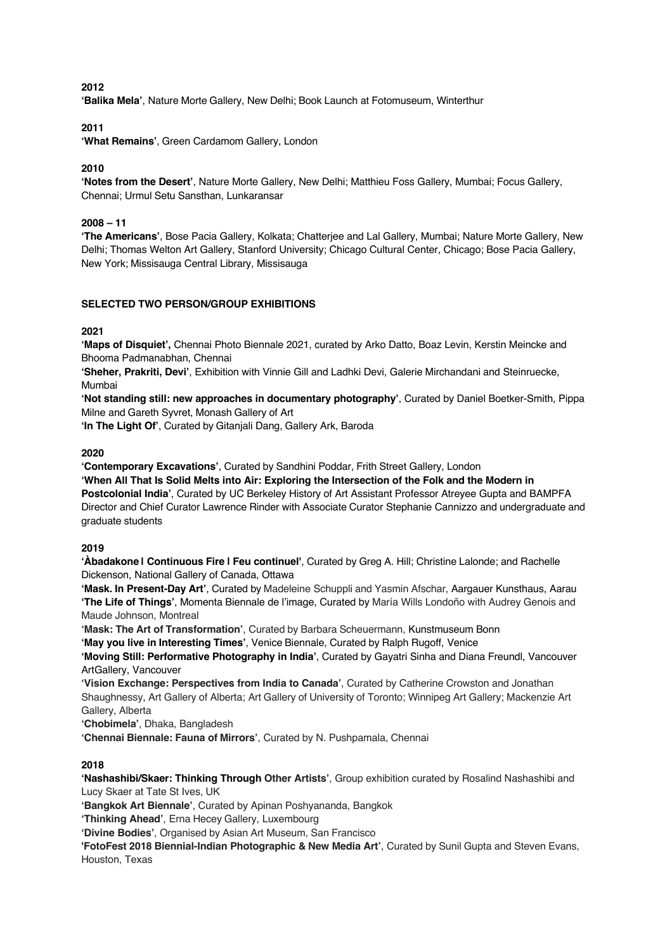### **2012**

**'Balika Mela'**, Nature Morte Gallery, New Delhi; Book Launch at Fotomuseum, Winterthur

### **2011**

**'What Remains'**, Green Cardamom Gallery, London

### **2010**

**'Notes from the Desert'**, Nature Morte Gallery, New Delhi; Matthieu Foss Gallery, Mumbai; Focus Gallery, Chennai; Urmul Setu Sansthan, Lunkaransar

### **2008 – 11**

**'The Americans'**, Bose Pacia Gallery, Kolkata; Chatterjee and Lal Gallery, Mumbai; Nature Morte Gallery, New Delhi; Thomas Welton Art Gallery, Stanford University; Chicago Cultural Center, Chicago; Bose Pacia Gallery, New York; Missisauga Central Library, Missisauga

### **SELECTED TWO PERSON/GROUP EXHIBITIONS**

### **2021**

**'Maps of Disquiet',** Chennai Photo Biennale 2021, curated by Arko Datto, Boaz Levin, Kerstin Meincke and Bhooma Padmanabhan, Chennai

**'Sheher, Prakriti, Devi'**, Exhibition with Vinnie Gill and Ladhki Devi, Galerie Mirchandani and Steinruecke, Mumbai

**'Not standing still: new approaches in documentary photography'**, Curated by Daniel Boetker-Smith, Pippa Milne and Gareth Syvret, Monash Gallery of Art

**'In The Light Of'**, Curated by Gitanjali Dang, Gallery Ark, Baroda

### **2020**

**'Contemporary Excavations'**, Curated by Sandhini Poddar, Frith Street Gallery, London **'When All That Is Solid Melts into Air: Exploring the Intersection of the Folk and the Modern in Postcolonial India'**, Curated by UC Berkeley History of Art Assistant Professor Atreyee Gupta and BAMPFA Director and Chief Curator Lawrence Rinder with Associate Curator Stephanie Cannizzo and undergraduate and graduate students

#### **2019**

**'Àbadakone | Continuous Fire | Feu continuel'**, Curated by Greg A. Hill; Christine Lalonde; and Rachelle Dickenson, National Gallery of Canada, Ottawa

**'Mask. In Present-Day Art'**, Curated by Madeleine Schuppli and Yasmin Afschar, Aargauer Kunsthaus, Aarau **'The Life of Things'**, Momenta Biennale de l'image, Curated by María Wills Londoño with Audrey Genois and Maude Johnson, Montreal

**'Mask: The Art of Transformation'**, Curated by Barbara Scheuermann, Kunstmuseum Bonn

**'May you live in Interesting Times'**, Venice Biennale, Curated by Ralph Rugoff, Venice

**'Moving Still: Performative Photography in India'**, Curated by Gayatri Sinha and Diana Freundl, Vancouver ArtGallery, Vancouver

**'Vision Exchange: Perspectives from India to Canada'**, Curated by Catherine Crowston and Jonathan Shaughnessy, Art Gallery of Alberta; Art Gallery of University of Toronto; Winnipeg Art Gallery; Mackenzie Art Gallery, Alberta

**'Chobimela'**, Dhaka, Bangladesh

**'Chennai Biennale: Fauna of Mirrors'**, Curated by N. Pushpamala, Chennai

### **2018**

**'Nashashibi/Skaer: Thinking Through Other Artists'**, Group exhibition curated by Rosalind Nashashibi and Lucy Skaer at Tate St Ives, UK

**'Bangkok Art Biennale'**, Curated by Apinan Poshyananda, Bangkok

**'Thinking Ahead'**, Erna Hecey Gallery, Luxembourg

**'Divine Bodies'**, Organised by Asian Art Museum, San Francisco

**'FotoFest 2018 Biennial-Indian Photographic & New Media Art'**, Curated by Sunil Gupta and Steven Evans, Houston, Texas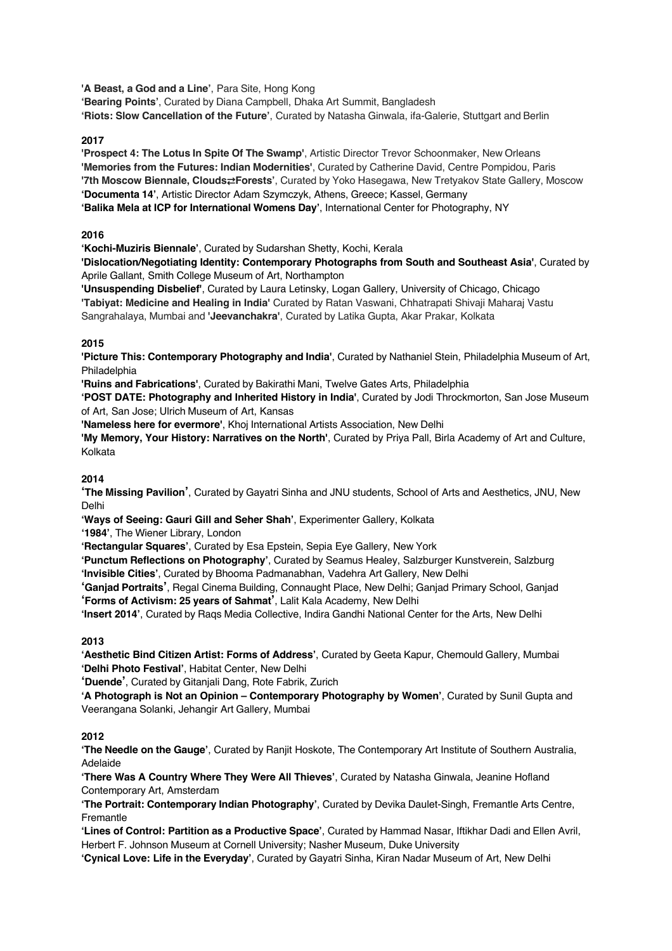**'A Beast, a God and a Line'**, Para Site, Hong Kong

**'Bearing Points'**, Curated by Diana Campbell, Dhaka Art Summit, Bangladesh **'Riots: Slow Cancellation of the Future'**, Curated by Natasha Ginwala, ifa-Galerie, Stuttgart and Berlin

### **2017**

**'Prospect 4: The Lotus In Spite Of The Swamp'**, Artistic Director Trevor Schoonmaker, New Orleans **'Memories from the Futures: Indian Modernities'**, Curated by Catherine David, Centre Pompidou, Paris **'7th Moscow Biennale, Clouds**⇄**Forests'**, Curated by Yoko Hasegawa, New Tretyakov State Gallery, Moscow **'Documenta 14'**, Artistic Director Adam Szymczyk, Athens, Greece; Kassel, Germany **'Balika Mela at ICP for International Womens Day'**, International Center for Photography, NY

### **2016**

**'Kochi-Muziris Biennale'**, Curated by Sudarshan Shetty, Kochi, Kerala

**'Dislocation/Negotiating Identity: Contemporary Photographs from South and Southeast Asia'**, Curated by Aprile Gallant, Smith College Museum of Art, Northampton

**'Unsuspending Disbelief'**, Curated by Laura Letinsky, Logan Gallery, University of Chicago, Chicago **'Tabiyat: Medicine and Healing in India'** Curated by Ratan Vaswani, Chhatrapati Shivaji Maharaj Vastu Sangrahalaya, Mumbai and **'Jeevanchakra'**, Curated by Latika Gupta, Akar Prakar, Kolkata

## **2015**

**'Picture This: Contemporary Photography and India'**, Curated by Nathaniel Stein, Philadelphia Museum of Art, Philadelphia

**'Ruins and Fabrications'**, Curated by Bakirathi Mani, Twelve Gates Arts, Philadelphia

**'POST DATE: Photography and Inherited History in India'**, Curated by Jodi Throckmorton, San Jose Museum of Art, San Jose; Ulrich Museum of Art, Kansas

**'Nameless here for evermore'**, Khoj International Artists Association, New Delhi

**'My Memory, Your History: Narratives on the North'**, Curated by Priya Pall, Birla Academy of Art and Culture, Kolkata

## **2014**

**'The Missing Pavilion'**, Curated by Gayatri Sinha and JNU students, School of Arts and Aesthetics, JNU, New Delhi

**'Ways of Seeing: Gauri Gill and Seher Shah'**, Experimenter Gallery, Kolkata

**'1984'**, The Wiener Library, London

**'Rectangular Squares'**, Curated by Esa Epstein, Sepia Eye Gallery, New York

**'Punctum Reflections on Photography'**, Curated by Seamus Healey, Salzburger Kunstverein, Salzburg **'Invisible Cities'**, Curated by Bhooma Padmanabhan, Vadehra Art Gallery, New Delhi

**'Ganjad Portraits'**, Regal Cinema Building, Connaught Place, New Delhi; Ganjad Primary School, Ganjad **'Forms of Activism: 25 years of Sahmat'**, Lalit Kala Academy, New Delhi

**'Insert 2014'**, Curated by Raqs Media Collective, Indira Gandhi National Center for the Arts, New Delhi

## **2013**

**'Aesthetic Bind Citizen Artist: Forms of Address'**, Curated by Geeta Kapur, Chemould Gallery, Mumbai **'Delhi Photo Festival'**, Habitat Center, New Delhi

**'Duende'**, Curated by Gitanjali Dang, Rote Fabrik, Zurich

**'A Photograph is Not an Opinion – Contemporary Photography by Women'**, Curated by Sunil Gupta and Veerangana Solanki, Jehangir Art Gallery, Mumbai

## **2012**

**'The Needle on the Gauge'**, Curated by Ranjit Hoskote, The Contemporary Art Institute of Southern Australia, Adelaide

**'There Was A Country Where They Were All Thieves'**, Curated by Natasha Ginwala, Jeanine Hofland Contemporary Art, Amsterdam

**'The Portrait: Contemporary Indian Photography'**, Curated by Devika Daulet-Singh, Fremantle Arts Centre, Fremantle

**'Lines of Control: Partition as a Productive Space'**, Curated by Hammad Nasar, Iftikhar Dadi and Ellen Avril, Herbert F. Johnson Museum at Cornell University; Nasher Museum, Duke University

**'Cynical Love: Life in the Everyday'**, Curated by Gayatri Sinha, Kiran Nadar Museum of Art, New Delhi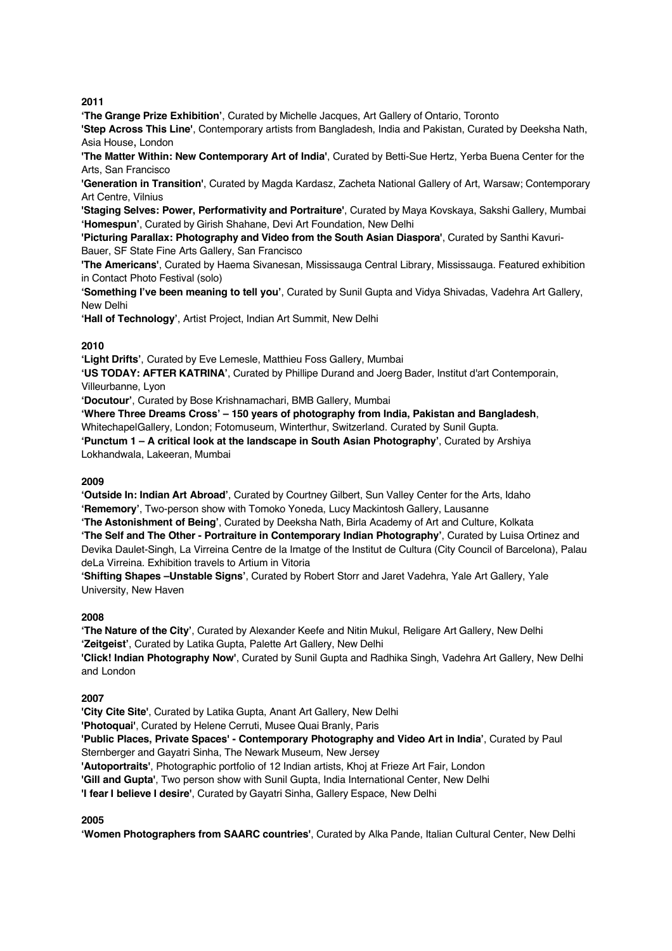**2011**

**'The Grange Prize Exhibition'**, Curated by Michelle Jacques, Art Gallery of Ontario, Toronto

**'Step Across This Line'**, Contemporary artists from Bangladesh, India and Pakistan, Curated by Deeksha Nath, Asia House, London

**'The Matter Within: New Contemporary Art of India'**, Curated by Betti-Sue Hertz, Yerba Buena Center for the Arts, San Francisco

**'Generation in Transition'**, Curated by Magda Kardasz, Zacheta National Gallery of Art, Warsaw; Contemporary Art Centre, Vilnius

**'Staging Selves: Power, Performativity and Portraiture'**, Curated by Maya Kovskaya, Sakshi Gallery, Mumbai **'Homespun'**, Curated by Girish Shahane, Devi Art Foundation, New Delhi

**'Picturing Parallax: Photography and Video from the South Asian Diaspora'**, Curated by Santhi Kavuri-Bauer, SF State Fine Arts Gallery, San Francisco

**'The Americans'**, Curated by Haema Sivanesan, Mississauga Central Library, Mississauga. Featured exhibition in Contact Photo Festival (solo)

**'Something I've been meaning to tell you'**, Curated by Sunil Gupta and Vidya Shivadas, Vadehra Art Gallery, New Delhi

**'Hall of Technology'**, Artist Project, Indian Art Summit, New Delhi

### **2010**

**'Light Drifts'**, Curated by Eve Lemesle, Matthieu Foss Gallery, Mumbai

**'US TODAY: AFTER KATRINA'**, Curated by Phillipe Durand and Joerg Bader, Institut d'art Contemporain, Villeurbanne, Lyon

**'Docutour'**, Curated by Bose Krishnamachari, BMB Gallery, Mumbai

**'Where Three Dreams Cross' – 150 years of photography from India, Pakistan and Bangladesh**, WhitechapelGallery, London; Fotomuseum, Winterthur, Switzerland. Curated by Sunil Gupta. **'Punctum 1 – A critical look at the landscape in South Asian Photography'**, Curated by Arshiya Lokhandwala, Lakeeran, Mumbai

### **2009**

**'Outside In: Indian Art Abroad'**, Curated by Courtney Gilbert, Sun Valley Center for the Arts, Idaho **'Rememory'**, Two-person show with Tomoko Yoneda, Lucy Mackintosh Gallery, Lausanne

**'The Astonishment of Being'**, Curated by Deeksha Nath, Birla Academy of Art and Culture, Kolkata **'The Self and The Other - Portraiture in Contemporary Indian Photography'**, Curated by Luisa Ortinez and Devika Daulet-Singh, La Virreina Centre de la Imatge of the Institut de Cultura (City Council of Barcelona), Palau deLa Virreina. Exhibition travels to Artium in Vitoria

**'Shifting Shapes –Unstable Signs'**, Curated by Robert Storr and Jaret Vadehra, Yale Art Gallery, Yale University, New Haven

### **2008**

**'The Nature of the City'**, Curated by Alexander Keefe and Nitin Mukul, Religare Art Gallery, New Delhi **'Zeitgeist'**, Curated by Latika Gupta, Palette Art Gallery, New Delhi

**'Click! Indian Photography Now'**, Curated by Sunil Gupta and Radhika Singh, Vadehra Art Gallery, New Delhi and London

### **2007**

**'City Cite Site'**, Curated by Latika Gupta, Anant Art Gallery, New Delhi **'Photoquai'**, Curated by Helene Cerruti, Musee Quai Branly, Paris **'Public Places, Private Spaces' - Contemporary Photography and Video Art in India'**, Curated by Paul Sternberger and Gayatri Sinha, The Newark Museum, New Jersey **'Autoportraits'**, Photographic portfolio of 12 Indian artists, Khoj at Frieze Art Fair, London **'Gill and Gupta'**, Two person show with Sunil Gupta, India International Center, New Delhi **'I fear I believe I desire'**, Curated by Gayatri Sinha, Gallery Espace, New Delhi

**2005**

**'Women Photographers from SAARC countries'**, Curated by Alka Pande, Italian Cultural Center, New Delhi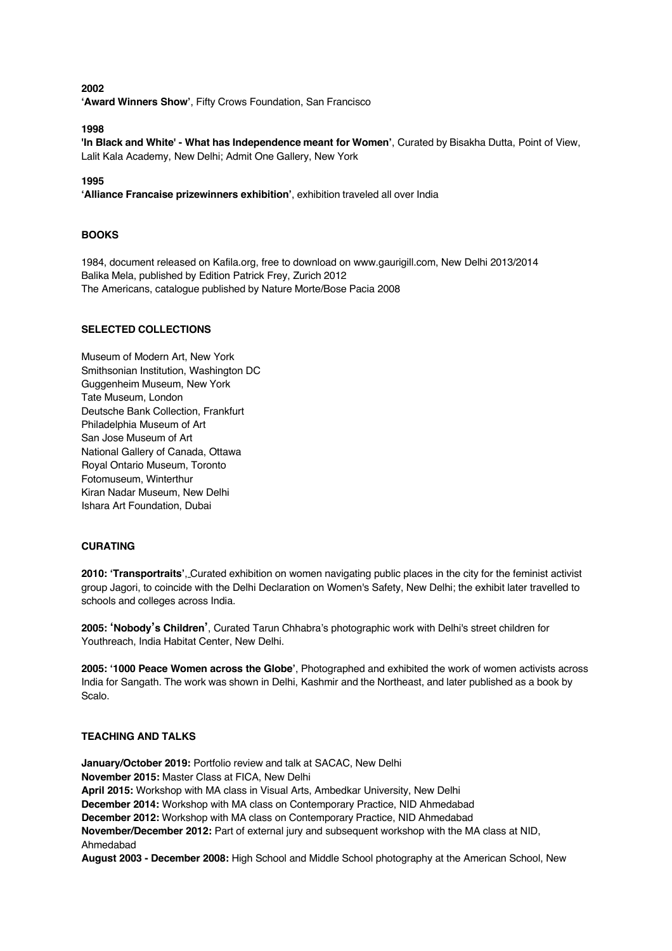**2002 'Award Winners Show'**, Fifty Crows Foundation, San Francisco

**1998**

**'In Black and White' - What has Independence meant for Women'**, Curated by Bisakha Dutta, Point of View, Lalit Kala Academy, New Delhi; Admit One Gallery, New York

**1995**

**'Alliance Francaise prizewinners exhibition'**, exhibition traveled all over India

### **BOOKS**

1984, document released on Kafila.org, free to download on www.gaurigill.com, New Delhi 2013/2014 Balika Mela, published by Edition Patrick Frey, Zurich 2012 The Americans, catalogue published by Nature Morte/Bose Pacia 2008

### **SELECTED COLLECTIONS**

Museum of Modern Art, New York Smithsonian Institution, Washington DC Guggenheim Museum, New York Tate Museum, London Deutsche Bank Collection, Frankfurt Philadelphia Museum of Art San Jose Museum of Art National Gallery of Canada, Ottawa Royal Ontario Museum, Toronto Fotomuseum, Winterthur Kiran Nadar Museum, New Delhi Ishara Art Foundation, Dubai

#### **CURATING**

**2010: 'Transportraits'**, Curated exhibition on women navigating public places in the city for the feminist activist group Jagori, to coincide with the Delhi Declaration on Women's Safety, New Delhi; the exhibit later travelled to schools and colleges across India.

**2005: 'Nobody's Children'**, Curated Tarun Chhabra's photographic work with Delhi's street children for Youthreach, India Habitat Center, New Delhi.

**2005: '1000 Peace Women across the Globe'**, Photographed and exhibited the work of women activists across India for Sangath. The work was shown in Delhi, Kashmir and the Northeast, and later published as a book by Scalo.

## **TEACHING AND TALKS**

**January/October 2019:** Portfolio review and talk at SACAC, New Delhi **November 2015:** Master Class at FICA, New Delhi **April 2015:** Workshop with MA class in Visual Arts, Ambedkar University, New Delhi **December 2014:** Workshop with MA class on Contemporary Practice, NID Ahmedabad **December 2012:** Workshop with MA class on Contemporary Practice, NID Ahmedabad **November/December 2012:** Part of external jury and subsequent workshop with the MA class at NID, Ahmedabad

**August 2003 - December 2008:** High School and Middle School photography at the American School, New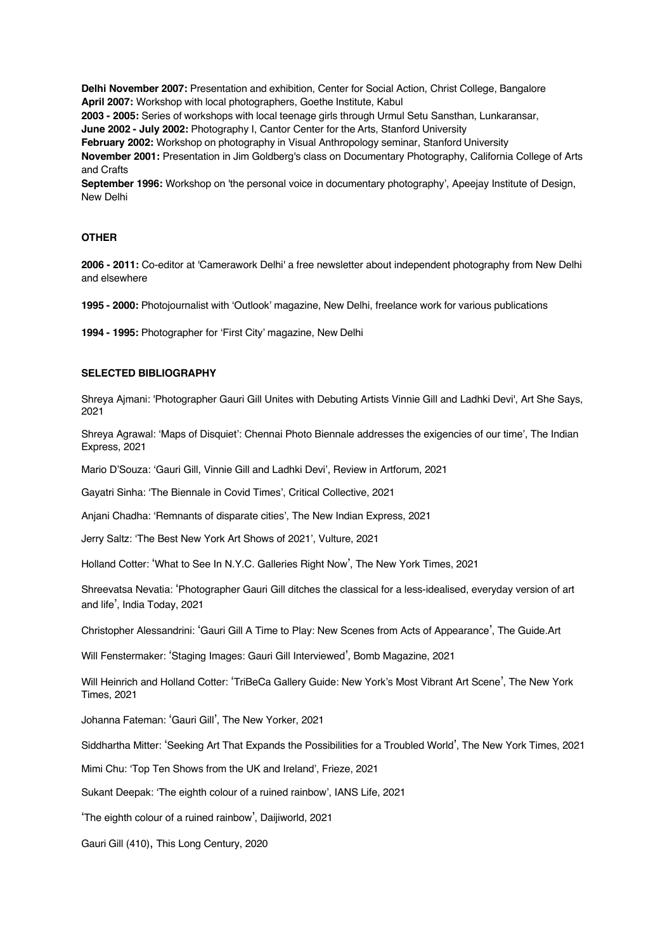**Delhi November 2007:** Presentation and exhibition, Center for Social Action, Christ College, Bangalore **April 2007:** Workshop with local photographers, Goethe Institute, Kabul **2003 - 2005:** Series of workshops with local teenage girls through Urmul Setu Sansthan, Lunkaransar,

**June 2002 - July 2002:** Photography I, Cantor Center for the Arts, Stanford University

**February 2002:** Workshop on photography in Visual Anthropology seminar, Stanford University

**November 2001:** Presentation in Jim Goldberg's class on Documentary Photography, California College of Arts and Crafts

**September 1996:** Workshop on 'the personal voice in documentary photography', Apeejay Institute of Design, New Delhi

### **OTHER**

**2006 - 2011:** Co-editor at 'Camerawork Delhi' a free newsletter about independent photography from New Delhi and elsewhere

**1995 - 2000:** Photojournalist with 'Outlook' magazine, New Delhi, freelance work for various publications

**1994 - 1995:** Photographer for 'First City' magazine, New Delhi

#### **SELECTED BIBLIOGRAPHY**

Shreya Ajmani: 'Photographer Gauri Gill Unites with Debuting Artists Vinnie Gill and Ladhki Devi', Art She Says, 2021

Shreya Agrawal: 'Maps of Disquiet': Chennai Photo Biennale addresses the exigencies of our time', The Indian Express, 2021

Mario D'Souza: 'Gauri Gill, Vinnie Gill and Ladhki Devi', Review in Artforum, 2021

Gayatri Sinha: 'The Biennale in Covid Times', Critical Collective, 2021

Anjani Chadha: 'Remnants of disparate cities', The New Indian Express, 2021

Jerry Saltz: 'The Best New York Art Shows of 2021', Vulture, 2021

Holland Cotter: 'What to See In N.Y.C. Galleries Right Now', The New York Times, 2021

Shreevatsa Nevatia: 'Photographer Gauri Gill ditches the classical for a less-idealised, everyday version of art and life', India Today, 2021

Christopher Alessandrini: 'Gauri Gill A Time to Play: New Scenes from Acts of Appearance', The Guide.Art

Will Fenstermaker: 'Staging Images: Gauri Gill Interviewed', Bomb Magazine, 2021

Will Heinrich and Holland Cotter: 'TriBeCa Gallery Guide: New York's Most Vibrant Art Scene', The New York Times, 2021

Johanna Fateman: 'Gauri Gill', The New Yorker, 2021

Siddhartha Mitter: 'Seeking Art That Expands the Possibilities for a Troubled World', The New York Times, 2021

Mimi Chu: 'Top Ten Shows from the UK and Ireland', Frieze, 2021

Sukant Deepak: 'The eighth colour of a ruined rainbow', IANS Life, 2021

'The eighth colour of a ruined rainbow', Daijiworld, 2021

Gauri Gill (410), This Long Century, 2020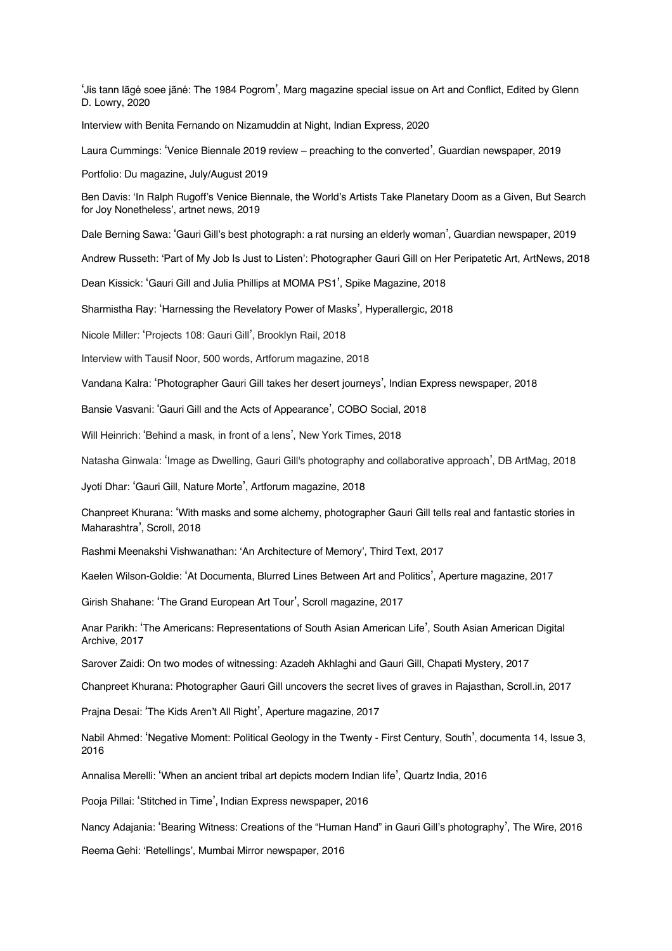'Jis tann lãgé soee jãné: The 1984 Pogrom', Marg magazine special issue on Art and Conflict, Edited by Glenn D. Lowry, 2020

Interview with Benita Fernando on Nizamuddin at Night, Indian Express, 2020

Laura Cummings: 'Venice Biennale 2019 review – preaching to the converted', Guardian newspaper, 2019

Portfolio: Du magazine, July/August 2019

Ben Davis: 'In Ralph Rugoff's Venice Biennale, the World's Artists Take Planetary Doom as a Given, But Search for Joy Nonetheless', artnet news, 2019

Dale Berning Sawa: 'Gauri Gill's best photograph: a rat nursing an elderly woman', Guardian newspaper, 2019

Andrew Russeth: 'Part of My Job Is Just to Listen': Photographer Gauri Gill on Her Peripatetic Art, ArtNews, 2018

Dean Kissick: 'Gauri Gill and Julia Phillips at MOMA PS1', Spike Magazine, 2018

Sharmistha Ray: 'Harnessing the Revelatory Power of Masks', Hyperallergic, 2018

Nicole Miller: 'Projects 108: Gauri Gill', Brooklyn Rail, 2018

Interview with Tausif Noor, 500 words, Artforum magazine, 2018

Vandana Kalra: 'Photographer Gauri Gill takes her desert journeys', Indian Express newspaper, 2018

Bansie Vasvani: 'Gauri Gill and the Acts of Appearance', COBO Social, 2018

Will Heinrich: 'Behind a mask, in front of a lens', New York Times, 2018

Natasha Ginwala: 'Image as Dwelling, Gauri Gill's photography and collaborative approach', DB ArtMag, 2018

Jyoti Dhar: 'Gauri Gill, Nature Morte', Artforum magazine, 2018

Chanpreet Khurana: 'With masks and some alchemy, photographer Gauri Gill tells real and fantastic stories in Maharashtra', Scroll, 2018

Rashmi Meenakshi Vishwanathan: 'An Architecture of Memory', Third Text, 2017

Kaelen Wilson-Goldie: 'At Documenta, Blurred Lines Between Art and Politics', Aperture magazine, 2017

Girish Shahane: 'The Grand European Art Tour', Scroll magazine, 2017

Anar Parikh: 'The Americans: Representations of South Asian American Life', South Asian American Digital Archive, 2017

Sarover Zaidi: On two modes of witnessing: Azadeh Akhlaghi and Gauri Gill, Chapati Mystery, 2017

Chanpreet Khurana: Photographer Gauri Gill uncovers the secret lives of graves in Rajasthan, Scroll.in, 2017

Prajna Desai: 'The Kids Aren't All Right', Aperture magazine, 2017

Nabil Ahmed: 'Negative Moment: Political Geology in the Twenty - First Century, South', documenta 14, Issue 3, 2016

Annalisa Merelli: 'When an ancient tribal art depicts modern Indian life', Quartz India, 2016

Pooja Pillai: 'Stitched in Time', Indian Express newspaper, 2016

Nancy Adajania: 'Bearing Witness: Creations of the "Human Hand" in Gauri Gill's photography', The Wire, 2016

Reema Gehi: 'Retellings', Mumbai Mirror newspaper, 2016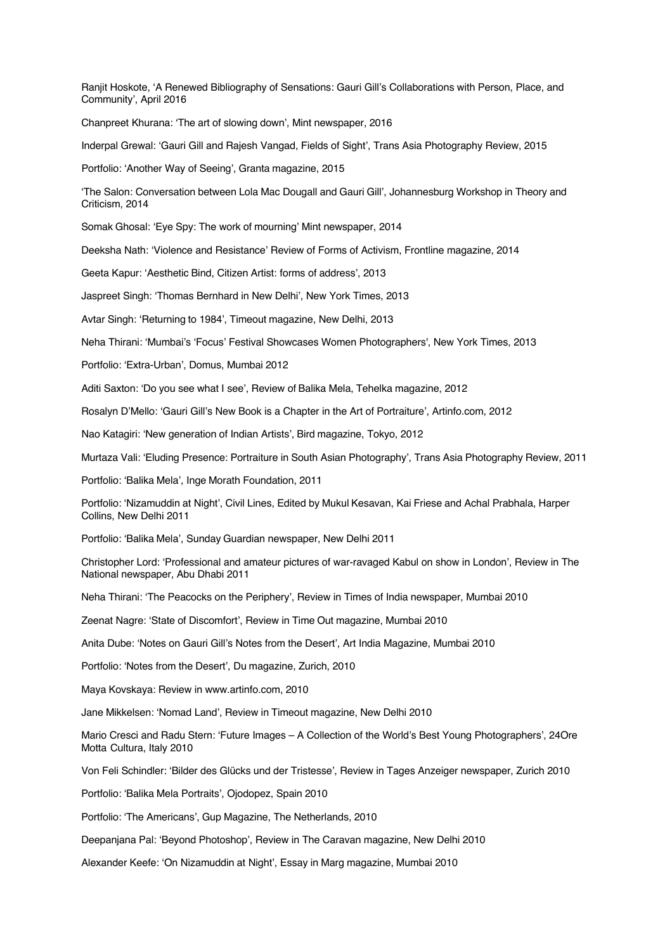Ranjit Hoskote, 'A Renewed Bibliography of Sensations: Gauri Gill's Collaborations with Person, Place, and Community', April 2016

Chanpreet Khurana: 'The art of slowing down', Mint newspaper, 2016

Inderpal Grewal: 'Gauri Gill and Rajesh Vangad, Fields of Sight', Trans Asia Photography Review, 2015

Portfolio: 'Another Way of Seeing', Granta magazine, 2015

'The Salon: Conversation between Lola Mac Dougall and Gauri Gill', Johannesburg Workshop in Theory and Criticism, 2014

Somak Ghosal: 'Eye Spy: The work of mourning' Mint newspaper, 2014

Deeksha Nath: 'Violence and Resistance' Review of Forms of Activism, Frontline magazine, 2014

Geeta Kapur: 'Aesthetic Bind, Citizen Artist: forms of address', 2013

Jaspreet Singh: 'Thomas Bernhard in New Delhi', New York Times, 2013

Avtar Singh: 'Returning to 1984', Timeout magazine, New Delhi, 2013

Neha Thirani: 'Mumbai's 'Focus' Festival Showcases Women Photographers', New York Times, 2013

Portfolio: 'Extra-Urban', Domus, Mumbai 2012

Aditi Saxton: 'Do you see what I see', Review of Balika Mela, Tehelka magazine, 2012

Rosalyn D'Mello: 'Gauri Gill's New Book is a Chapter in the Art of Portraiture', Artinfo.com, 2012

Nao Katagiri: 'New generation of Indian Artists', Bird magazine, Tokyo, 2012

Murtaza Vali: 'Eluding Presence: Portraiture in South Asian Photography', Trans Asia Photography Review, 2011

Portfolio: 'Balika Mela', Inge Morath Foundation, 2011

Portfolio: 'Nizamuddin at Night', Civil Lines, Edited by Mukul Kesavan, Kai Friese and Achal Prabhala, Harper Collins, New Delhi 2011

Portfolio: 'Balika Mela', Sunday Guardian newspaper, New Delhi 2011

Christopher Lord: 'Professional and amateur pictures of war-ravaged Kabul on show in London', Review in The National newspaper, Abu Dhabi 2011

Neha Thirani: 'The Peacocks on the Periphery', Review in Times of India newspaper, Mumbai 2010

Zeenat Nagre: 'State of Discomfort', Review in Time Out magazine, Mumbai 2010

Anita Dube: 'Notes on Gauri Gill's Notes from the Desert', Art India Magazine, Mumbai 2010

Portfolio: 'Notes from the Desert', Du magazine, Zurich, 2010

Maya Kovskaya: Review in www.artinfo.com, 2010

Jane Mikkelsen: 'Nomad Land', Review in Timeout magazine, New Delhi 2010

Mario Cresci and Radu Stern: 'Future Images – A Collection of the World's Best Young Photographers', 24Ore Motta Cultura, Italy 2010

Von Feli Schindler: 'Bilder des Glücks und der Tristesse', Review in Tages Anzeiger newspaper, Zurich 2010

Portfolio: 'Balika Mela Portraits', Ojodopez, Spain 2010

Portfolio: 'The Americans', Gup Magazine, The Netherlands, 2010

Deepanjana Pal: 'Beyond Photoshop', Review in The Caravan magazine, New Delhi 2010

Alexander Keefe: 'On Nizamuddin at Night', Essay in Marg magazine, Mumbai 2010